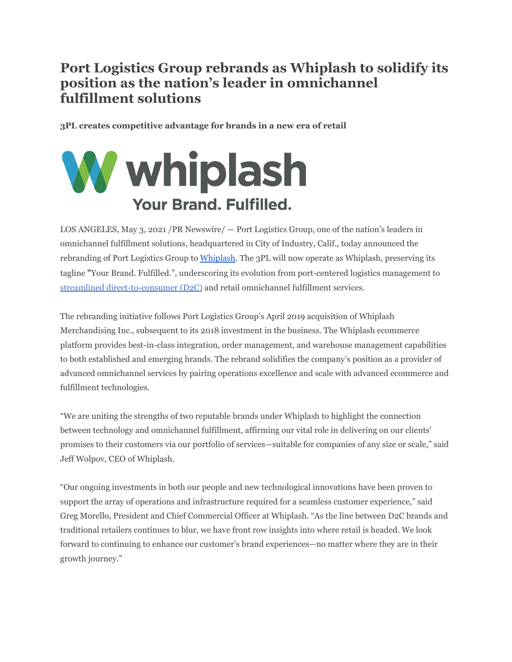## **Port Logistics Group rebrands as Whiplash to solidify its position as the nation's leader in omnichannel fulfillment solutions**

**3PL creates competitive advantage for brands in a new era of retail**

## **W** whiplash **Your Brand, Fulfilled.**

LOS ANGELES, May 3, 2021 /PR Newswire/ — Port Logistics Group, one of the nation's leaders in omnichannel fulfillment solutions, headquartered in City of Industry, Calif., today announced the rebranding of Port Logistics Group to [Whiplash.](https://whiplash.com) The 3PL will now operate as Whiplash, preserving its tagline "Your Brand. Fulfilled.", underscoring its evolution from port-centered logistics management to streamlined [direct-to-consumer](https://whiplash.com/solution/ecommerce-fulfillment/) (D2C) and retail omnichannel fulfillment services.

The rebranding initiative follows Port Logistics Group's April 2019 acquisition of Whiplash Merchandising Inc., subsequent to its 2018 investment in the business. The Whiplash ecommerce platform provides best-in-class integration, order management, and warehouse management capabilities to both established and emerging brands. The rebrand solidifies the company's position as a provider of advanced omnichannel services by pairing operations excellence and scale with advanced ecommerce and fulfillment technologies.

"We are uniting the strengths of two reputable brands under Whiplash to highlight the connection between technology and omnichannel fulfillment, affirming our vital role in delivering on our clients' promises to their customers via our portfolio of services—suitable for companies of any size or scale," said Jeff Wolpov, CEO of Whiplash.

"Our ongoing investments in both our people and new technological innovations have been proven to support the array of operations and infrastructure required for a seamless customer experience," said Greg Morello, President and Chief Commercial Officer at Whiplash. "As the line between D2C brands and traditional retailers continues to blur, we have front row insights into where retail is headed. We look forward to continuing to enhance our customer's brand experiences—no matter where they are in their growth journey."